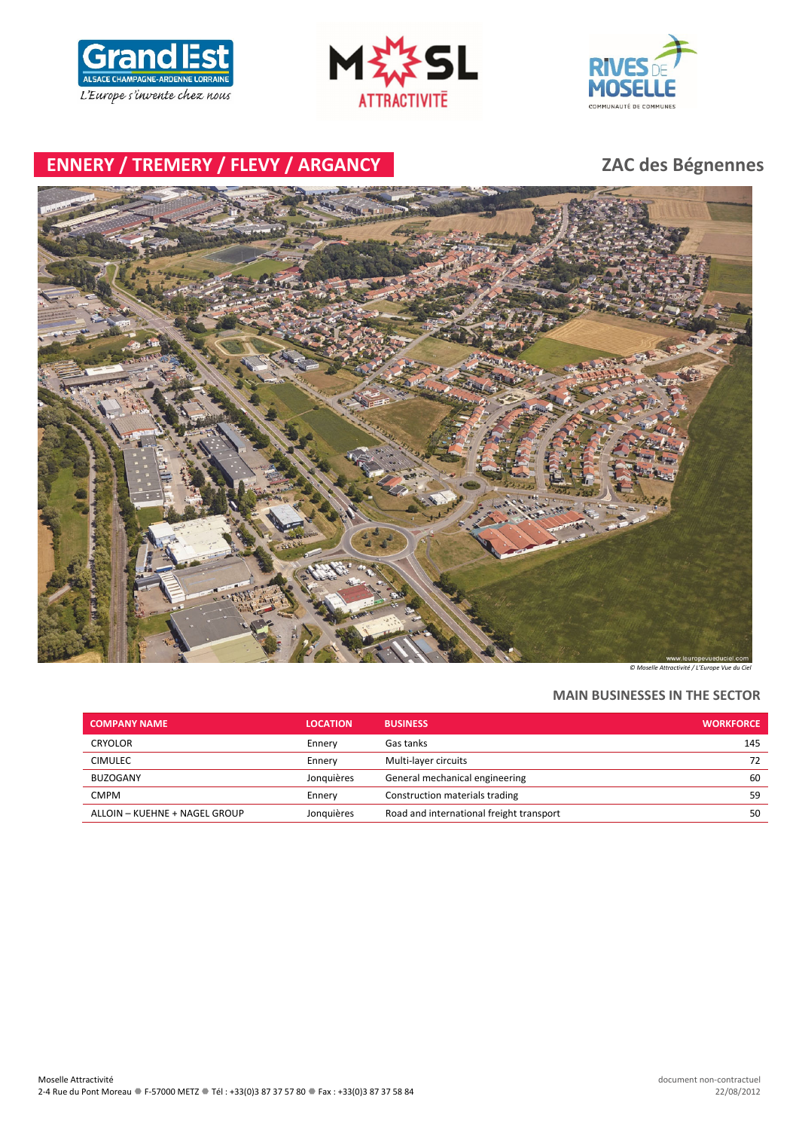





# **ENNERY / TREMERY / FLEVY / ARGANCY ZAC des Bégnennes**



*© Moselle Attractivité / L'Europe Vue du Ciel*

### **MAIN BUSINESSES IN THE SECTOR**

| <b>COMPANY NAME</b>           | <b>LOCATION</b> | <b>BUSINESS</b>                          | <b>WORKFORCE</b> |
|-------------------------------|-----------------|------------------------------------------|------------------|
| <b>CRYOLOR</b>                | Ennery          | Gas tanks                                | 145              |
| <b>CIMULEC</b>                | Ennery          | Multi-layer circuits                     | 72               |
| BUZOGANY                      | Jonauières      | General mechanical engineering           | 60               |
| <b>CMPM</b>                   | Ennery          | Construction materials trading           | 59               |
| ALLOIN - KUEHNE + NAGEL GROUP | Jonauières      | Road and international freight transport | 50               |